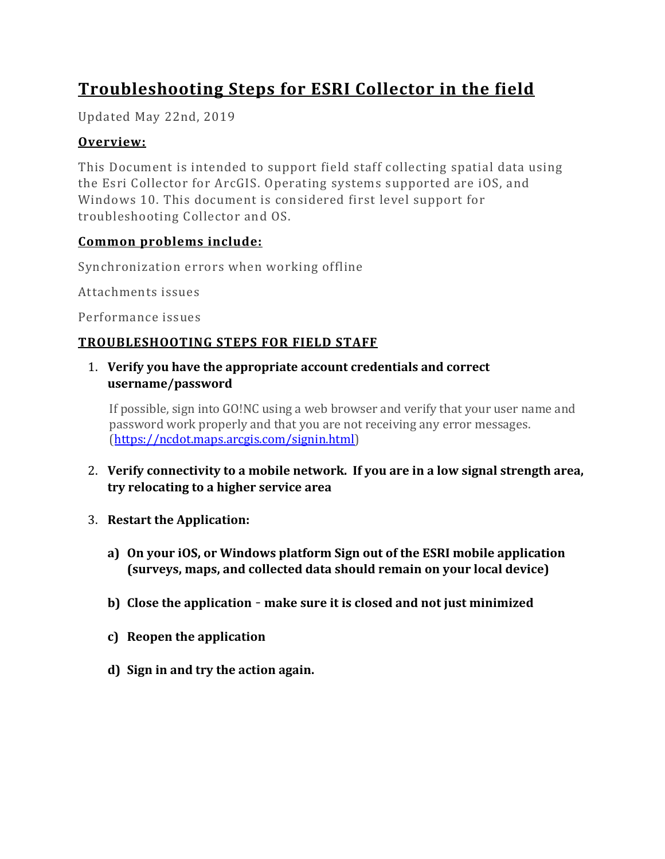# **Troubleshooting Steps for ESRI Collector in the field**

Updated May 22nd, 2019

## **Overview:**

This Document is intended to support field staff collecting spatial data using the Esri Collector for ArcGIS. Operating systems supported are iOS, and Windows 10. This document is considered first level support for troubleshooting Collector and OS.

## **Common problems include:**

Synchronization errors when working offline

Attachments issues

Performance issues

## **TROUBLESHOOTING STEPS FOR FIELD STAFF**

#### 1. **Verify you have the appropriate account credentials and correct username/password**

If possible, sign into GO!NC using a web browser and verify that your user name and password work properly and that you are not receiving any error messages. [\(https://ncdot.maps.arcgis.com/signin.html\)](https://ncdot.maps.arcgis.com/signin.html)

- 2. **Verify connectivity to a mobile network. If you are in a low signal strength area, try relocating to a higher service area**
- 3. **Restart the Application:**
	- **a) On your iOS, or Windows platform Sign out of the ESRI mobile application (surveys, maps, and collected data should remain on your local device)**
	- **b) Close the application make sure it is closed and not just minimized**
	- **c) Reopen the application**
	- **d) Sign in and try the action again.**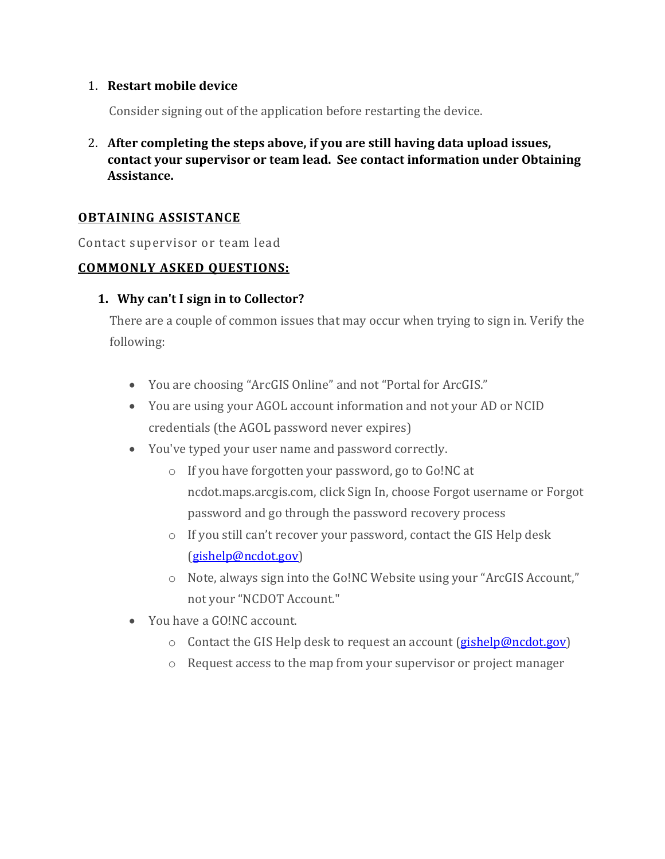#### 1. **Restart mobile device**

Consider signing out of the application before restarting the device.

2. **After completing the steps above, if you are still having data upload issues, contact your supervisor or team lead. See contact information under Obtaining Assistance.** 

### **OBTAINING ASSISTANCE**

Contact supervisor or team lead

#### **COMMONLY ASKED QUESTIONS:**

#### **1. Why can't I sign in to Collector?**

There are a couple of common issues that may occur when trying to sign in. Verify the following:

- You are choosing "ArcGIS Online" and not "Portal for ArcGIS."
- You are using your AGOL account information and not your AD or NCID credentials (the AGOL password never expires)
- You've typed your user name and password correctly.
	- o If you have forgotten your password, go to Go!NC at ncdot.maps.arcgis.com, click Sign In, choose Forgot username or Forgot password and go through the password recovery process
	- o If you still can't recover your password, contact the GIS Help desk [\(gishelp@ncdot.gov\)](mailto:gishelp@ncdot.gov)
	- o Note, always sign into the Go!NC Website using your "ArcGIS Account," not your "NCDOT Account."
- You have a GO!NC account.
	- o Contact the GIS Help desk to request an account [\(gishelp@ncdot.gov\)](mailto:gishelp@ncdot.gov)
	- o Request access to the map from your supervisor or project manager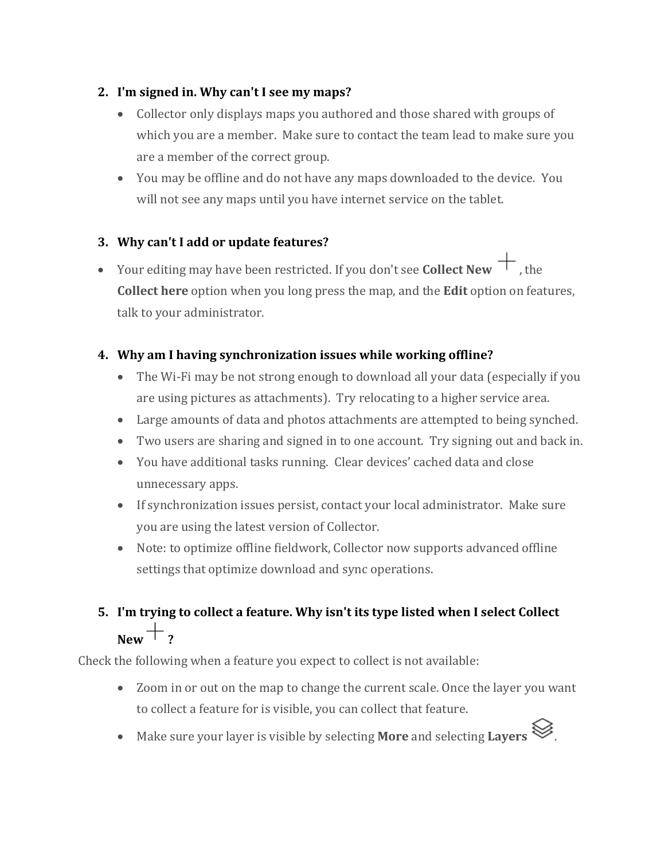## **2. I'm signed in. Why can't I see my maps?**

- Collector only displays maps you authored and those shared with groups of which you are a member. Make sure to contact the team lead to make sure you are a member of the correct group.
- You may be offline and do not have any maps downloaded to the device. You will not see any maps until you have internet service on the tablet.

## **3. Why can't I add or update features?**

• Your editing may have been restricted. If you don't see **Collect New**  $+$ , the **Collect here** option when you long press the map, and the **Edit** option on features, talk to your administrator.

## **4. Why am I having synchronization issues while working offline?**

- The Wi-Fi may be not strong enough to download all your data (especially if you are using pictures as attachments). Try relocating to a higher service area.
- Large amounts of data and photos attachments are attempted to being synched.
- Two users are sharing and signed in to one account. Try signing out and back in.
- You have additional tasks running. Clear devices' cached data and close unnecessary apps.
- If synchronization issues persist, contact your local administrator. Make sure you are using the latest version of Collector.
- Note: to optimize offline fieldwork, Collector now supports advanced offline settings that optimize download and sync operations.

## **5. I'm trying to collect a feature. Why isn't its type listed when I select Collect**   $New + 2$

Check the following when a feature you expect to collect is not available:

- Zoom in or out on the map to change the current scale. Once the layer you want to collect a feature for is visible, you can collect that feature.
- Make sure your layer is visible by selecting **More** and selecting **Layers** .